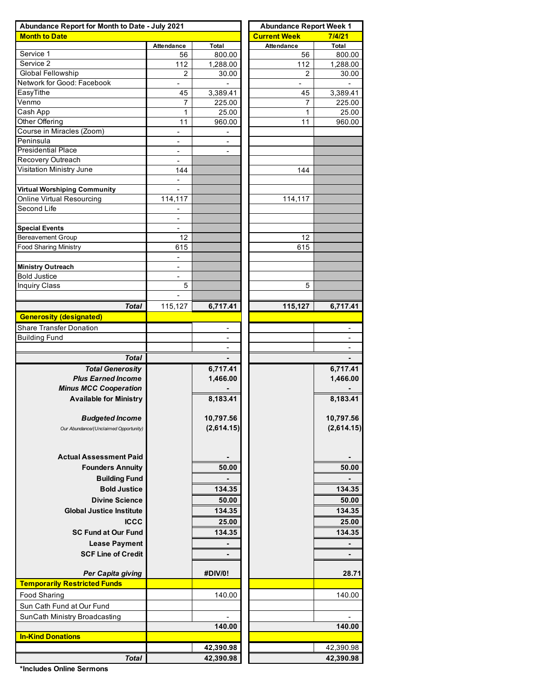| Abundance Report for Month to Date - July 2021 | <b>Abundance Report Week 1</b>  |                          |                     |                |  |  |  |
|------------------------------------------------|---------------------------------|--------------------------|---------------------|----------------|--|--|--|
| <b>Month to Date</b>                           |                                 |                          | <b>Current Week</b> | 7/4/21         |  |  |  |
|                                                | Attendance                      | Total                    | <b>Attendance</b>   | Total          |  |  |  |
| Service 1                                      | 56                              | 800.00                   | 56                  | 800.00         |  |  |  |
| Service 2                                      | 112                             | 1,288.00                 | 112                 | 1,288.00       |  |  |  |
| <b>Global Fellowship</b>                       | $\overline{2}$                  | 30.00                    | $\overline{2}$      | 30.00          |  |  |  |
| Network for Good: Facebook                     | $\blacksquare$                  |                          | $\blacksquare$      |                |  |  |  |
| EasyTithe                                      | 45                              | 3,389.41                 | 45                  | 3,389.41       |  |  |  |
| Venmo                                          | 7                               | 225.00                   | 7                   | 225.00         |  |  |  |
| Cash App                                       | 1                               | 25.00                    | 1                   | 25.00          |  |  |  |
| Other Offering                                 | 11                              | 960.00                   | 11                  | 960.00         |  |  |  |
| Course in Miracles (Zoom)<br>Peninsula         |                                 |                          |                     |                |  |  |  |
| <b>Presidential Place</b>                      | $\overline{\phantom{a}}$        | $\overline{a}$           |                     |                |  |  |  |
| Recovery Outreach                              | $\overline{\phantom{a}}$        | $\overline{\phantom{a}}$ |                     |                |  |  |  |
| Visitation Ministry June                       | $\overline{\phantom{a}}$<br>144 |                          | 144                 |                |  |  |  |
|                                                |                                 |                          |                     |                |  |  |  |
| Virtual Worshiping Community                   |                                 |                          |                     |                |  |  |  |
| Online Virtual Resourcing                      | 114,117                         |                          | 114,117             |                |  |  |  |
| Second Life                                    |                                 |                          |                     |                |  |  |  |
|                                                | $\overline{\phantom{a}}$        |                          |                     |                |  |  |  |
| <b>Special Events</b>                          | $\blacksquare$                  |                          |                     |                |  |  |  |
| <b>Bereavement Group</b>                       | 12                              |                          | 12                  |                |  |  |  |
| <b>Food Sharing Ministry</b>                   | 615                             |                          | 615                 |                |  |  |  |
|                                                |                                 |                          |                     |                |  |  |  |
| <b>Ministry Outreach</b>                       | $\overline{\phantom{a}}$        |                          |                     |                |  |  |  |
| <b>Bold Justice</b>                            | $\overline{\phantom{a}}$        |                          |                     |                |  |  |  |
| <b>Inquiry Class</b>                           | 5                               |                          | 5                   |                |  |  |  |
|                                                |                                 |                          |                     |                |  |  |  |
| <b>Total</b>                                   | 115,127                         | 6,717.41                 | 115,127             | 6,717.41       |  |  |  |
| <b>Generosity (designated)</b>                 |                                 |                          |                     |                |  |  |  |
| <b>Share Transfer Donation</b>                 |                                 |                          |                     |                |  |  |  |
|                                                |                                 |                          |                     |                |  |  |  |
| <b>Building Fund</b>                           |                                 |                          |                     |                |  |  |  |
|                                                |                                 | $\overline{\phantom{a}}$ |                     |                |  |  |  |
| <b>Total</b>                                   |                                 |                          |                     |                |  |  |  |
| <b>Total Generosity</b>                        |                                 | 6,717.41                 |                     | 6,717.41       |  |  |  |
| <b>Plus Earned Income</b>                      |                                 | 1,466.00                 |                     | 1,466.00       |  |  |  |
| <b>Minus MCC Cooperation</b>                   |                                 |                          |                     |                |  |  |  |
| <b>Available for Ministry</b>                  |                                 | 8,183.41                 |                     | 8,183.41       |  |  |  |
|                                                |                                 |                          |                     |                |  |  |  |
| <b>Budgeted Income</b>                         |                                 | 10,797.56                |                     | 10,797.56      |  |  |  |
| Our Abundance/(Unclaimed Opportunity)          |                                 | (2,614.15)               |                     | (2,614.15)     |  |  |  |
|                                                |                                 |                          |                     |                |  |  |  |
|                                                |                                 |                          |                     |                |  |  |  |
| <b>Actual Assessment Paid</b>                  |                                 |                          |                     |                |  |  |  |
| <b>Founders Annuity</b>                        |                                 | 50.00                    |                     | 50.00          |  |  |  |
| <b>Building Fund</b>                           |                                 |                          |                     |                |  |  |  |
| <b>Bold Justice</b>                            |                                 | 134.35                   |                     | 134.35         |  |  |  |
| <b>Divine Science</b>                          |                                 | 50.00                    |                     | 50.00          |  |  |  |
|                                                |                                 |                          |                     | 134.35         |  |  |  |
| <b>Global Justice Institute</b>                |                                 | 134.35                   |                     |                |  |  |  |
| <b>ICCC</b>                                    |                                 | 25.00                    |                     | 25.00          |  |  |  |
|                                                |                                 |                          |                     |                |  |  |  |
| <b>SC Fund at Our Fund</b>                     |                                 | 134.35                   |                     | 134.35         |  |  |  |
| <b>Lease Payment</b>                           |                                 | $\blacksquare$           |                     |                |  |  |  |
| <b>SCF Line of Credit</b>                      |                                 | $\blacksquare$           |                     | $\blacksquare$ |  |  |  |
|                                                |                                 |                          |                     |                |  |  |  |
| Per Capita giving                              |                                 | #DIV/0!                  |                     | 28.71          |  |  |  |
| <b>Temporarily Restricted Funds</b>            |                                 |                          |                     |                |  |  |  |
| <b>Food Sharing</b>                            |                                 | 140.00                   |                     | 140.00         |  |  |  |
| Sun Cath Fund at Our Fund                      |                                 |                          |                     |                |  |  |  |
| SunCath Ministry Broadcasting                  |                                 |                          |                     |                |  |  |  |
|                                                |                                 | 140.00                   |                     | 140.00         |  |  |  |
| <b>In-Kind Donations</b>                       |                                 |                          |                     |                |  |  |  |
|                                                |                                 | 42,390.98                |                     | 42,390.98      |  |  |  |

**\*Includes Online Sermons**